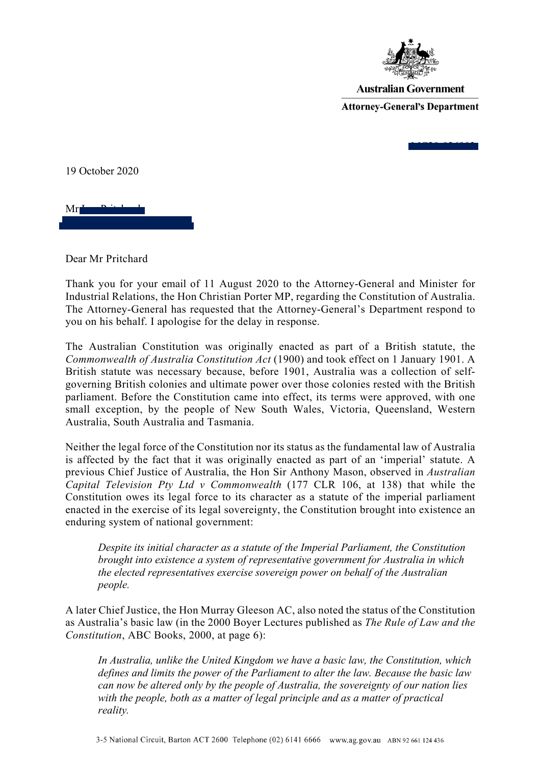

**Australian Government Attorney-General's Department** 

MC<del>2003</del>

19 October 2020

 $Mr<sub>L</sub>$ [elohimptyltd@bigpond.com](mailto:elohimptyltd@bigpond.com)

Dear Mr Pritchard

Thank you for your email of 11 August 2020 to the Attorney-General and Minister for Industrial Relations, the Hon Christian Porter MP, regarding the Constitution of Australia. The Attorney-General has requested that the Attorney-General's Department respond to you on his behalf. I apologise for the delay in response.

The Australian Constitution was originally enacted as part of a British statute, the *Commonwealth of Australia Constitution Act* (1900) and took effect on 1 January 1901. A British statute was necessary because, before 1901, Australia was a collection of selfgoverning British colonies and ultimate power over those colonies rested with the British parliament. Before the Constitution came into effect, its terms were approved, with one small exception, by the people of New South Wales, Victoria, Queensland, Western Australia, South Australia and Tasmania.

Neither the legal force of the Constitution nor its status as the fundamental law of Australia is affected by the fact that it was originally enacted as part of an 'imperial' statute. A previous Chief Justice of Australia, the Hon Sir Anthony Mason, observed in *Australian Capital Television Pty Ltd v Commonwealth* (177 CLR 106, at 138) that while the Constitution owes its legal force to its character as a statute of the imperial parliament enacted in the exercise of its legal sovereignty, the Constitution brought into existence an enduring system of national government:

*Despite its initial character as a statute of the Imperial Parliament, the Constitution brought into existence a system of representative government for Australia in which the elected representatives exercise sovereign power on behalf of the Australian people.*

A later Chief Justice, the Hon Murray Gleeson AC, also noted the status of the Constitution as Australia's basic law (in the 2000 Boyer Lectures published as *The Rule of Law and the Constitution*, ABC Books, 2000, at page 6):

*In Australia, unlike the United Kingdom we have a basic law, the Constitution, which defines and limits the power of the Parliament to alter the law. Because the basic law can now be altered only by the people of Australia, the sovereignty of our nation lies with the people, both as a matter of legal principle and as a matter of practical reality.*